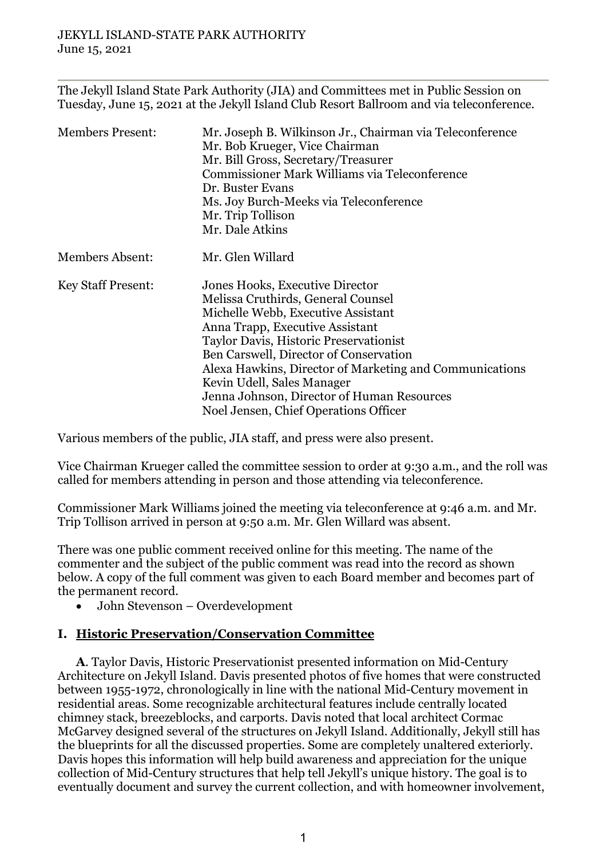The Jekyll Island State Park Authority (JIA) and Committees met in Public Session on Tuesday, June 15, 2021 at the Jekyll Island Club Resort Ballroom and via teleconference.

| <b>Members Present:</b>   | Mr. Joseph B. Wilkinson Jr., Chairman via Teleconference<br>Mr. Bob Krueger, Vice Chairman<br>Mr. Bill Gross, Secretary/Treasurer<br>Commissioner Mark Williams via Teleconference<br>Dr. Buster Evans<br>Ms. Joy Burch-Meeks via Teleconference<br>Mr. Trip Tollison<br>Mr. Dale Atkins                                                                                                                           |
|---------------------------|--------------------------------------------------------------------------------------------------------------------------------------------------------------------------------------------------------------------------------------------------------------------------------------------------------------------------------------------------------------------------------------------------------------------|
| <b>Members Absent:</b>    | Mr. Glen Willard                                                                                                                                                                                                                                                                                                                                                                                                   |
| <b>Key Staff Present:</b> | Jones Hooks, Executive Director<br>Melissa Cruthirds, General Counsel<br>Michelle Webb, Executive Assistant<br>Anna Trapp, Executive Assistant<br>Taylor Davis, Historic Preservationist<br>Ben Carswell, Director of Conservation<br>Alexa Hawkins, Director of Marketing and Communications<br>Kevin Udell, Sales Manager<br>Jenna Johnson, Director of Human Resources<br>Noel Jensen, Chief Operations Officer |

Various members of the public, JIA staff, and press were also present.

Vice Chairman Krueger called the committee session to order at 9:30 a.m., and the roll was called for members attending in person and those attending via teleconference.

Commissioner Mark Williams joined the meeting via teleconference at 9:46 a.m. and Mr. Trip Tollison arrived in person at 9:50 a.m. Mr. Glen Willard was absent.

There was one public comment received online for this meeting. The name of the commenter and the subject of the public comment was read into the record as shown below. A copy of the full comment was given to each Board member and becomes part of the permanent record.

• John Stevenson – Overdevelopment

## **I. Historic Preservation/Conservation Committee**

**A**. Taylor Davis, Historic Preservationist presented information on Mid-Century Architecture on Jekyll Island. Davis presented photos of five homes that were constructed between 1955-1972, chronologically in line with the national Mid-Century movement in residential areas. Some recognizable architectural features include centrally located chimney stack, breezeblocks, and carports. Davis noted that local architect Cormac McGarvey designed several of the structures on Jekyll Island. Additionally, Jekyll still has the blueprints for all the discussed properties. Some are completely unaltered exteriorly. Davis hopes this information will help build awareness and appreciation for the unique collection of Mid-Century structures that help tell Jekyll's unique history. The goal is to eventually document and survey the current collection, and with homeowner involvement,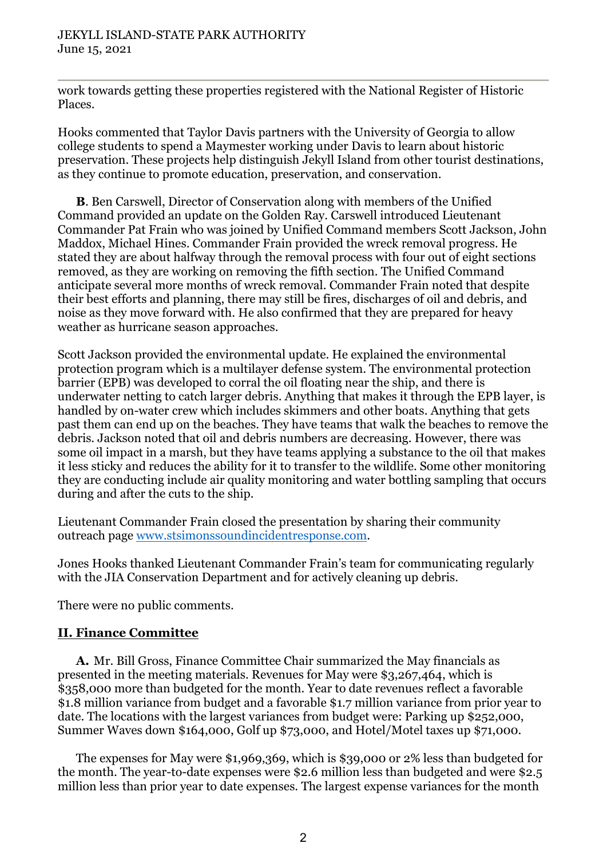work towards getting these properties registered with the National Register of Historic Places.

Hooks commented that Taylor Davis partners with the University of Georgia to allow college students to spend a Maymester working under Davis to learn about historic preservation. These projects help distinguish Jekyll Island from other tourist destinations, as they continue to promote education, preservation, and conservation.

**B**. Ben Carswell, Director of Conservation along with members of the Unified Command provided an update on the Golden Ray. Carswell introduced Lieutenant Commander Pat Frain who was joined by Unified Command members Scott Jackson, John Maddox, Michael Hines. Commander Frain provided the wreck removal progress. He stated they are about halfway through the removal process with four out of eight sections removed, as they are working on removing the fifth section. The Unified Command anticipate several more months of wreck removal. Commander Frain noted that despite their best efforts and planning, there may still be fires, discharges of oil and debris, and noise as they move forward with. He also confirmed that they are prepared for heavy weather as hurricane season approaches.

Scott Jackson provided the environmental update. He explained the environmental protection program which is a multilayer defense system. The environmental protection barrier (EPB) was developed to corral the oil floating near the ship, and there is underwater netting to catch larger debris. Anything that makes it through the EPB layer, is handled by on-water crew which includes skimmers and other boats. Anything that gets past them can end up on the beaches. They have teams that walk the beaches to remove the debris. Jackson noted that oil and debris numbers are decreasing. However, there was some oil impact in a marsh, but they have teams applying a substance to the oil that makes it less sticky and reduces the ability for it to transfer to the wildlife. Some other monitoring they are conducting include air quality monitoring and water bottling sampling that occurs during and after the cuts to the ship.

Lieutenant Commander Frain closed the presentation by sharing their community outreach page [www.stsimonssoundincidentresponse.com.](http://www.stsimonssoundincidentresponse.com/)

Jones Hooks thanked Lieutenant Commander Frain's team for communicating regularly with the JIA Conservation Department and for actively cleaning up debris.

There were no public comments.

## **II. Finance Committee**

**A.** Mr. Bill Gross, Finance Committee Chair summarized the May financials as presented in the meeting materials. Revenues for May were \$3,267,464, which is \$358,000 more than budgeted for the month. Year to date revenues reflect a favorable \$1.8 million variance from budget and a favorable \$1.7 million variance from prior year to date. The locations with the largest variances from budget were: Parking up \$252,000, Summer Waves down \$164,000, Golf up \$73,000, and Hotel/Motel taxes up \$71,000.

The expenses for May were \$1,969,369, which is \$39,000 or 2% less than budgeted for the month. The year-to-date expenses were \$2.6 million less than budgeted and were \$2.5 million less than prior year to date expenses. The largest expense variances for the month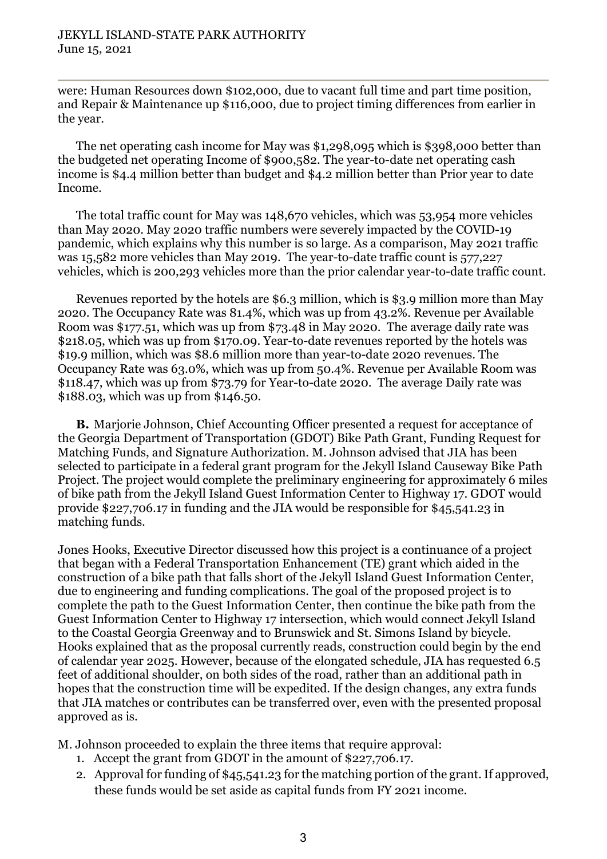were: Human Resources down \$102,000, due to vacant full time and part time position, and Repair & Maintenance up \$116,000, due to project timing differences from earlier in the year.

The net operating cash income for May was \$1,298,095 which is \$398,000 better than the budgeted net operating Income of \$900,582. The year-to-date net operating cash income is \$4.4 million better than budget and \$4.2 million better than Prior year to date Income.

The total traffic count for May was 148,670 vehicles, which was 53,954 more vehicles than May 2020. May 2020 traffic numbers were severely impacted by the COVID-19 pandemic, which explains why this number is so large. As a comparison, May 2021 traffic was 15,582 more vehicles than May 2019. The year-to-date traffic count is 577,227 vehicles, which is 200,293 vehicles more than the prior calendar year-to-date traffic count.

Revenues reported by the hotels are \$6.3 million, which is \$3.9 million more than May 2020. The Occupancy Rate was 81.4%, which was up from 43.2%. Revenue per Available Room was \$177.51, which was up from \$73.48 in May 2020. The average daily rate was \$218.05, which was up from \$170.09. Year-to-date revenues reported by the hotels was \$19.9 million, which was \$8.6 million more than year-to-date 2020 revenues. The Occupancy Rate was 63.0%, which was up from 50.4%. Revenue per Available Room was \$118.47, which was up from \$73.79 for Year-to-date 2020. The average Daily rate was \$188.03, which was up from \$146.50.

**B.** Marjorie Johnson, Chief Accounting Officer presented a request for acceptance of the Georgia Department of Transportation (GDOT) Bike Path Grant, Funding Request for Matching Funds, and Signature Authorization. M. Johnson advised that JIA has been selected to participate in a federal grant program for the Jekyll Island Causeway Bike Path Project. The project would complete the preliminary engineering for approximately 6 miles of bike path from the Jekyll Island Guest Information Center to Highway 17. GDOT would provide \$227,706.17 in funding and the JIA would be responsible for \$45,541.23 in matching funds.

Jones Hooks, Executive Director discussed how this project is a continuance of a project that began with a Federal Transportation Enhancement (TE) grant which aided in the construction of a bike path that falls short of the Jekyll Island Guest Information Center, due to engineering and funding complications. The goal of the proposed project is to complete the path to the Guest Information Center, then continue the bike path from the Guest Information Center to Highway 17 intersection, which would connect Jekyll Island to the Coastal Georgia Greenway and to Brunswick and St. Simons Island by bicycle. Hooks explained that as the proposal currently reads, construction could begin by the end of calendar year 2025. However, because of the elongated schedule, JIA has requested 6.5 feet of additional shoulder, on both sides of the road, rather than an additional path in hopes that the construction time will be expedited. If the design changes, any extra funds that JIA matches or contributes can be transferred over, even with the presented proposal approved as is.

M. Johnson proceeded to explain the three items that require approval:

- 1. Accept the grant from GDOT in the amount of \$227,706.17.
- 2. Approval for funding of \$45,541.23 for the matching portion of the grant. If approved, these funds would be set aside as capital funds from FY 2021 income.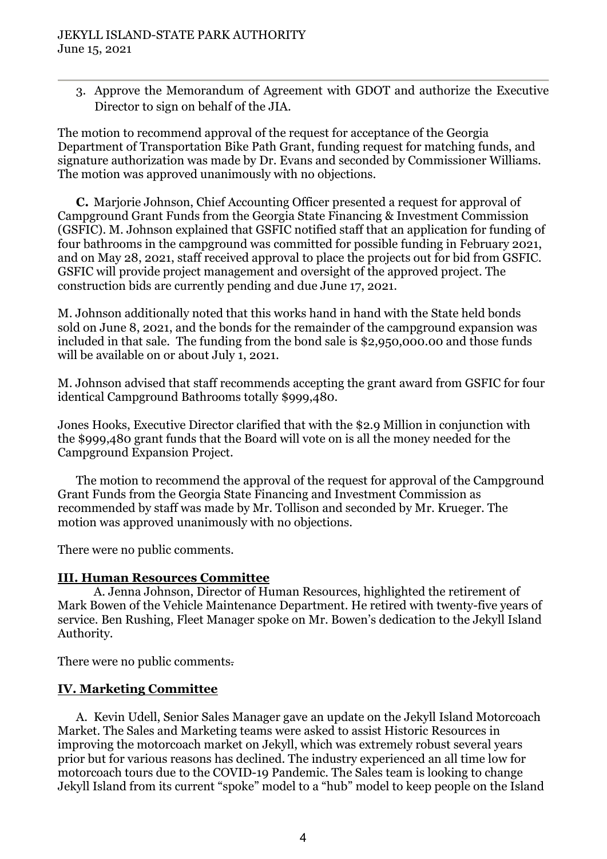3. Approve the Memorandum of Agreement with GDOT and authorize the Executive Director to sign on behalf of the JIA.

The motion to recommend approval of the request for acceptance of the Georgia Department of Transportation Bike Path Grant, funding request for matching funds, and signature authorization was made by Dr. Evans and seconded by Commissioner Williams. The motion was approved unanimously with no objections.

**C.** Marjorie Johnson, Chief Accounting Officer presented a request for approval of Campground Grant Funds from the Georgia State Financing & Investment Commission (GSFIC). M. Johnson explained that GSFIC notified staff that an application for funding of four bathrooms in the campground was committed for possible funding in February 2021, and on May 28, 2021, staff received approval to place the projects out for bid from GSFIC. GSFIC will provide project management and oversight of the approved project. The construction bids are currently pending and due June 17, 2021.

M. Johnson additionally noted that this works hand in hand with the State held bonds sold on June 8, 2021, and the bonds for the remainder of the campground expansion was included in that sale. The funding from the bond sale is \$2,950,000.00 and those funds will be available on or about July 1, 2021.

M. Johnson advised that staff recommends accepting the grant award from GSFIC for four identical Campground Bathrooms totally \$999,480.

Jones Hooks, Executive Director clarified that with the \$2.9 Million in conjunction with the \$999,480 grant funds that the Board will vote on is all the money needed for the Campground Expansion Project.

The motion to recommend the approval of the request for approval of the Campground Grant Funds from the Georgia State Financing and Investment Commission as recommended by staff was made by Mr. Tollison and seconded by Mr. Krueger. The motion was approved unanimously with no objections.

There were no public comments.

#### **III. Human Resources Committee**

A. Jenna Johnson, Director of Human Resources, highlighted the retirement of Mark Bowen of the Vehicle Maintenance Department. He retired with twenty-five years of service. Ben Rushing, Fleet Manager spoke on Mr. Bowen's dedication to the Jekyll Island Authority.

There were no public comments.

## **IV. Marketing Committee**

A. Kevin Udell, Senior Sales Manager gave an update on the Jekyll Island Motorcoach Market. The Sales and Marketing teams were asked to assist Historic Resources in improving the motorcoach market on Jekyll, which was extremely robust several years prior but for various reasons has declined. The industry experienced an all time low for motorcoach tours due to the COVID-19 Pandemic. The Sales team is looking to change Jekyll Island from its current "spoke" model to a "hub" model to keep people on the Island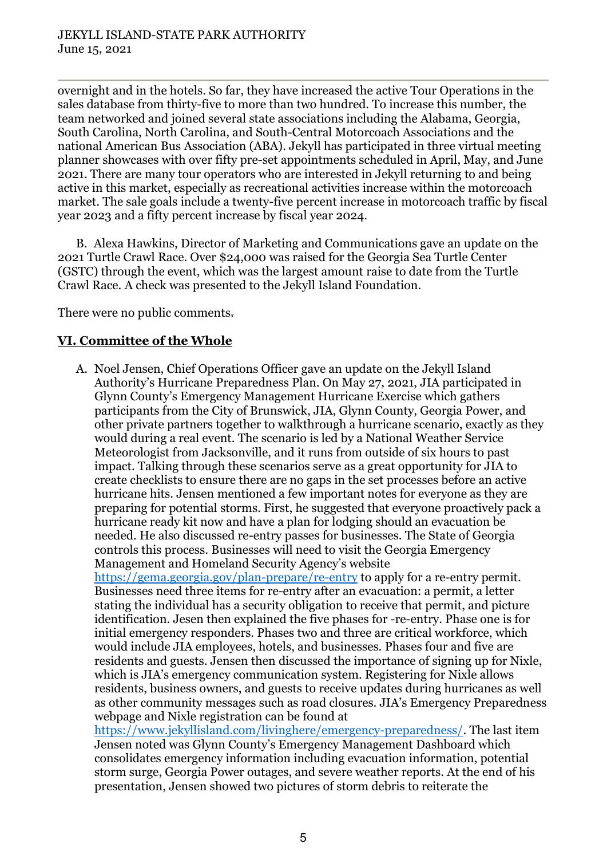overnight and in the hotels. So far, they have increased the active Tour Operations in the sales database from thirty-five to more than two hundred. To increase this number, the team networked and joined several state associations including the Alabama, Georgia, South Carolina, North Carolina, and South-Central Motorcoach Associations and the national American Bus Association (ABA). Jekyll has participated in three virtual meeting planner showcases with over fifty pre-set appointments scheduled in April, May, and June 2021. There are many tour operators who are interested in Jekyll returning to and being active in this market, especially as recreational activities increase within the motorcoach market. The sale goals include a twenty-five percent increase in motorcoach traffic by fiscal year 2023 and a fifty percent increase by fiscal year 2024.

B. Alexa Hawkins, Director of Marketing and Communications gave an update on the 2021 Turtle Crawl Race. Over \$24,000 was raised for the Georgia Sea Turtle Center (GSTC) through the event, which was the largest amount raise to date from the Turtle Crawl Race. A check was presented to the Jekyll Island Foundation.

There were no public comments.

# **VI. Committee of the Whole**

A. Noel Jensen, Chief Operations Officer gave an update on the Jekyll Island Authority's Hurricane Preparedness Plan. On May 27, 2021, JIA participated in Glynn County's Emergency Management Hurricane Exercise which gathers participants from the City of Brunswick, JIA, Glynn County, Georgia Power, and other private partners together to walkthrough a hurricane scenario, exactly as they would during a real event. The scenario is led by a National Weather Service Meteorologist from Jacksonville, and it runs from outside of six hours to past impact. Talking through these scenarios serve as a great opportunity for JIA to create checklists to ensure there are no gaps in the set processes before an active hurricane hits. Jensen mentioned a few important notes for everyone as they are preparing for potential storms. First, he suggested that everyone proactively pack a hurricane ready kit now and have a plan for lodging should an evacuation be needed. He also discussed re-entry passes for businesses. The State of Georgia controls this process. Businesses will need to visit the Georgia Emergency Management and Homeland Security Agency's website <https://gema.georgia.gov/plan-prepare/re-entry> to apply for a re-entry permit. Businesses need three items for re-entry after an evacuation: a permit, a letter stating the individual has a security obligation to receive that permit, and picture identification. Jesen then explained the five phases for -re-entry. Phase one is for initial emergency responders. Phases two and three are critical workforce, which would include JIA employees, hotels, and businesses. Phases four and five are residents and guests. Jensen then discussed the importance of signing up for Nixle, which is JIA's emergency communication system. Registering for Nixle allows residents, business owners, and guests to receive updates during hurricanes as well as other community messages such as road closures. JIA's Emergency Preparedness webpage and Nixle registration can be found at

[https://www.jekyllisland.com/livinghere/emergency-preparedness/.](https://www.jekyllisland.com/livinghere/emergency-preparedness/) The last item Jensen noted was Glynn County's Emergency Management Dashboard which consolidates emergency information including evacuation information, potential storm surge, Georgia Power outages, and severe weather reports. At the end of his presentation, Jensen showed two pictures of storm debris to reiterate the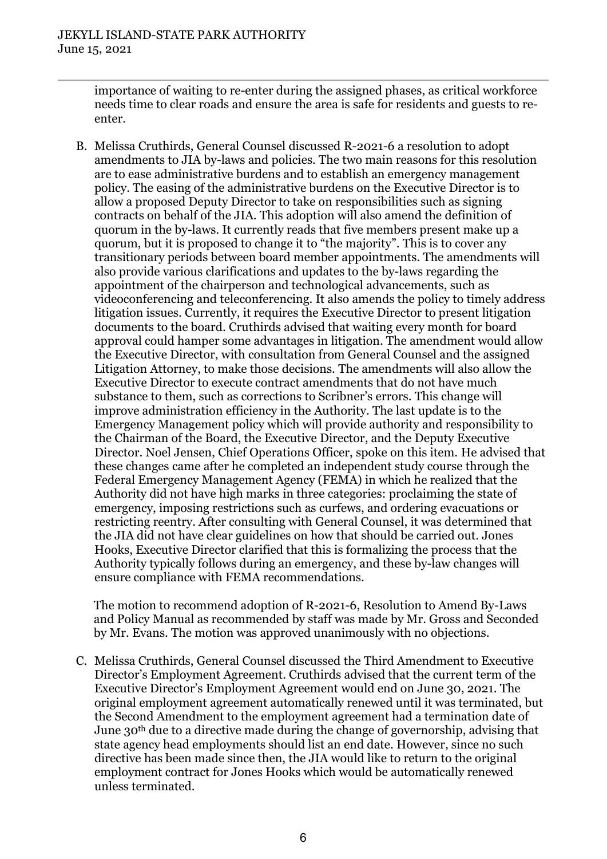importance of waiting to re-enter during the assigned phases, as critical workforce needs time to clear roads and ensure the area is safe for residents and guests to reenter.

B. Melissa Cruthirds, General Counsel discussed R-2021-6 a resolution to adopt amendments to JIA by-laws and policies. The two main reasons for this resolution are to ease administrative burdens and to establish an emergency management policy. The easing of the administrative burdens on the Executive Director is to allow a proposed Deputy Director to take on responsibilities such as signing contracts on behalf of the JIA. This adoption will also amend the definition of quorum in the by-laws. It currently reads that five members present make up a quorum, but it is proposed to change it to "the majority". This is to cover any transitionary periods between board member appointments. The amendments will also provide various clarifications and updates to the by-laws regarding the appointment of the chairperson and technological advancements, such as videoconferencing and teleconferencing. It also amends the policy to timely address litigation issues. Currently, it requires the Executive Director to present litigation documents to the board. Cruthirds advised that waiting every month for board approval could hamper some advantages in litigation. The amendment would allow the Executive Director, with consultation from General Counsel and the assigned Litigation Attorney, to make those decisions. The amendments will also allow the Executive Director to execute contract amendments that do not have much substance to them, such as corrections to Scribner's errors. This change will improve administration efficiency in the Authority. The last update is to the Emergency Management policy which will provide authority and responsibility to the Chairman of the Board, the Executive Director, and the Deputy Executive Director. Noel Jensen, Chief Operations Officer, spoke on this item. He advised that these changes came after he completed an independent study course through the Federal Emergency Management Agency (FEMA) in which he realized that the Authority did not have high marks in three categories: proclaiming the state of emergency, imposing restrictions such as curfews, and ordering evacuations or restricting reentry. After consulting with General Counsel, it was determined that the JIA did not have clear guidelines on how that should be carried out. Jones Hooks, Executive Director clarified that this is formalizing the process that the Authority typically follows during an emergency, and these by-law changes will ensure compliance with FEMA recommendations.

The motion to recommend adoption of R-2021-6, Resolution to Amend By-Laws and Policy Manual as recommended by staff was made by Mr. Gross and Seconded by Mr. Evans. The motion was approved unanimously with no objections.

C. Melissa Cruthirds, General Counsel discussed the Third Amendment to Executive Director's Employment Agreement. Cruthirds advised that the current term of the Executive Director's Employment Agreement would end on June 30, 2021. The original employment agreement automatically renewed until it was terminated, but the Second Amendment to the employment agreement had a termination date of June 30th due to a directive made during the change of governorship, advising that state agency head employments should list an end date. However, since no such directive has been made since then, the JIA would like to return to the original employment contract for Jones Hooks which would be automatically renewed unless terminated.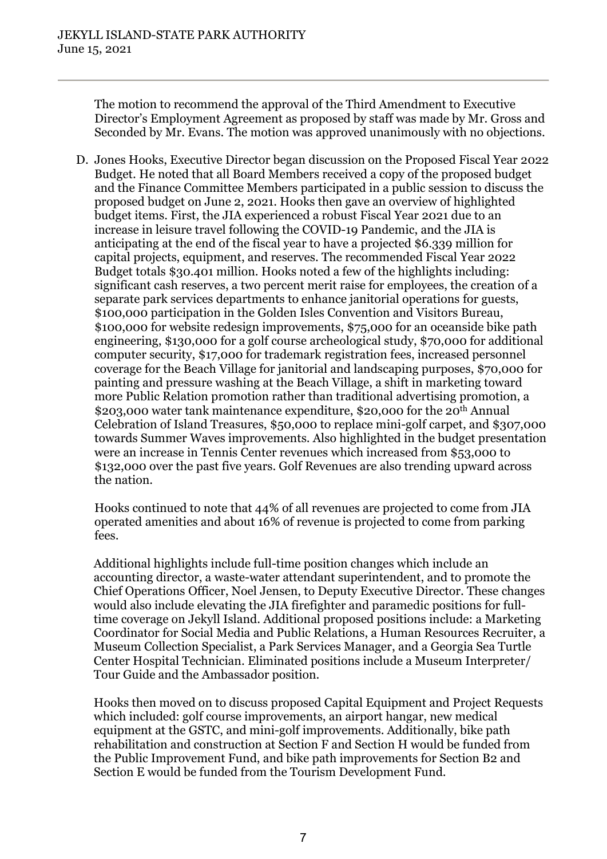The motion to recommend the approval of the Third Amendment to Executive Director's Employment Agreement as proposed by staff was made by Mr. Gross and Seconded by Mr. Evans. The motion was approved unanimously with no objections.

D. Jones Hooks, Executive Director began discussion on the Proposed Fiscal Year 2022 Budget. He noted that all Board Members received a copy of the proposed budget and the Finance Committee Members participated in a public session to discuss the proposed budget on June 2, 2021. Hooks then gave an overview of highlighted budget items. First, the JIA experienced a robust Fiscal Year 2021 due to an increase in leisure travel following the COVID-19 Pandemic, and the JIA is anticipating at the end of the fiscal year to have a projected \$6.339 million for capital projects, equipment, and reserves. The recommended Fiscal Year 2022 Budget totals \$30.401 million. Hooks noted a few of the highlights including: significant cash reserves, a two percent merit raise for employees, the creation of a separate park services departments to enhance janitorial operations for guests, \$100,000 participation in the Golden Isles Convention and Visitors Bureau, \$100,000 for website redesign improvements, \$75,000 for an oceanside bike path engineering, \$130,000 for a golf course archeological study, \$70,000 for additional computer security, \$17,000 for trademark registration fees, increased personnel coverage for the Beach Village for janitorial and landscaping purposes, \$70,000 for painting and pressure washing at the Beach Village, a shift in marketing toward more Public Relation promotion rather than traditional advertising promotion, a \$203,000 water tank maintenance expenditure, \$20,000 for the 20<sup>th</sup> Annual Celebration of Island Treasures, \$50,000 to replace mini-golf carpet, and \$307,000 towards Summer Waves improvements. Also highlighted in the budget presentation were an increase in Tennis Center revenues which increased from \$53,000 to \$132,000 over the past five years. Golf Revenues are also trending upward across the nation.

Hooks continued to note that 44% of all revenues are projected to come from JIA operated amenities and about 16% of revenue is projected to come from parking fees.

Additional highlights include full-time position changes which include an accounting director, a waste-water attendant superintendent, and to promote the Chief Operations Officer, Noel Jensen, to Deputy Executive Director. These changes would also include elevating the JIA firefighter and paramedic positions for fulltime coverage on Jekyll Island. Additional proposed positions include: a Marketing Coordinator for Social Media and Public Relations, a Human Resources Recruiter, a Museum Collection Specialist, a Park Services Manager, and a Georgia Sea Turtle Center Hospital Technician. Eliminated positions include a Museum Interpreter/ Tour Guide and the Ambassador position.

Hooks then moved on to discuss proposed Capital Equipment and Project Requests which included: golf course improvements, an airport hangar, new medical equipment at the GSTC, and mini-golf improvements. Additionally, bike path rehabilitation and construction at Section F and Section H would be funded from the Public Improvement Fund, and bike path improvements for Section B2 and Section E would be funded from the Tourism Development Fund.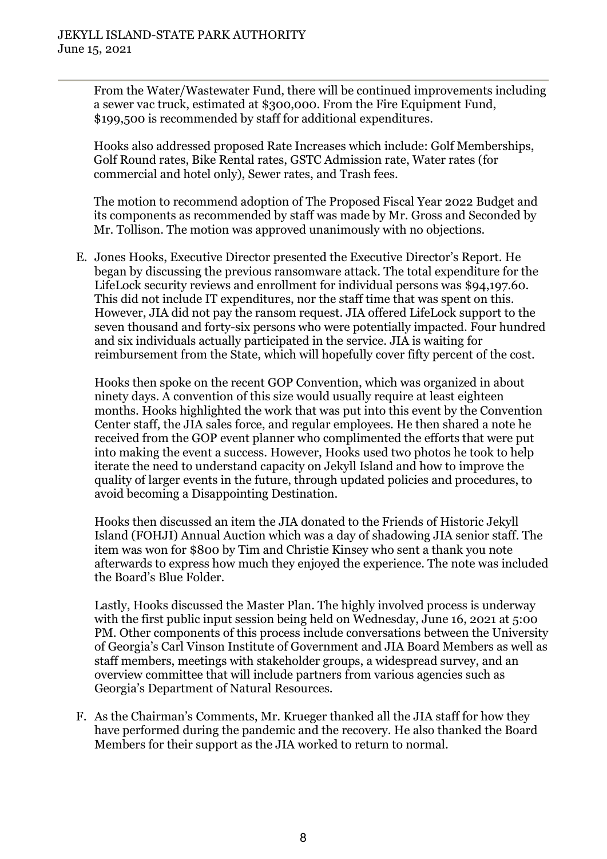From the Water/Wastewater Fund, there will be continued improvements including a sewer vac truck, estimated at \$300,000. From the Fire Equipment Fund, \$199,500 is recommended by staff for additional expenditures.

Hooks also addressed proposed Rate Increases which include: Golf Memberships, Golf Round rates, Bike Rental rates, GSTC Admission rate, Water rates (for commercial and hotel only), Sewer rates, and Trash fees.

The motion to recommend adoption of The Proposed Fiscal Year 2022 Budget and its components as recommended by staff was made by Mr. Gross and Seconded by Mr. Tollison. The motion was approved unanimously with no objections.

E. Jones Hooks, Executive Director presented the Executive Director's Report. He began by discussing the previous ransomware attack. The total expenditure for the LifeLock security reviews and enrollment for individual persons was \$94,197.60. This did not include IT expenditures, nor the staff time that was spent on this. However, JIA did not pay the ransom request. JIA offered LifeLock support to the seven thousand and forty-six persons who were potentially impacted. Four hundred and six individuals actually participated in the service. JIA is waiting for reimbursement from the State, which will hopefully cover fifty percent of the cost.

Hooks then spoke on the recent GOP Convention, which was organized in about ninety days. A convention of this size would usually require at least eighteen months. Hooks highlighted the work that was put into this event by the Convention Center staff, the JIA sales force, and regular employees. He then shared a note he received from the GOP event planner who complimented the efforts that were put into making the event a success. However, Hooks used two photos he took to help iterate the need to understand capacity on Jekyll Island and how to improve the quality of larger events in the future, through updated policies and procedures, to avoid becoming a Disappointing Destination.

Hooks then discussed an item the JIA donated to the Friends of Historic Jekyll Island (FOHJI) Annual Auction which was a day of shadowing JIA senior staff. The item was won for \$800 by Tim and Christie Kinsey who sent a thank you note afterwards to express how much they enjoyed the experience. The note was included the Board's Blue Folder.

Lastly, Hooks discussed the Master Plan. The highly involved process is underway with the first public input session being held on Wednesday, June 16, 2021 at 5:00 PM. Other components of this process include conversations between the University of Georgia's Carl Vinson Institute of Government and JIA Board Members as well as staff members, meetings with stakeholder groups, a widespread survey, and an overview committee that will include partners from various agencies such as Georgia's Department of Natural Resources.

F. As the Chairman's Comments, Mr. Krueger thanked all the JIA staff for how they have performed during the pandemic and the recovery. He also thanked the Board Members for their support as the JIA worked to return to normal.